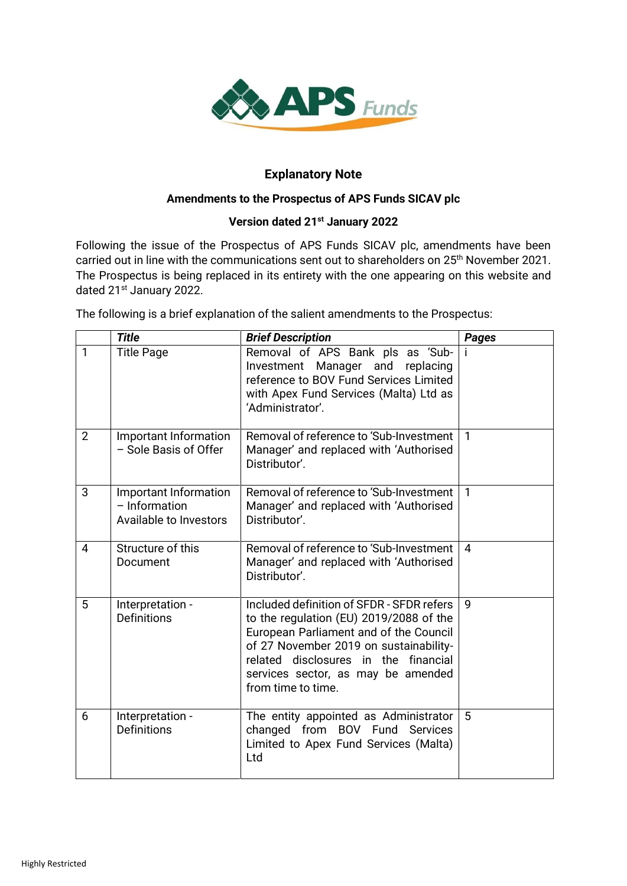

## **Explanatory Note**

## **Amendments to the Prospectus of APS Funds SICAV plc**

## **Version dated 21st January 2022**

Following the issue of the Prospectus of APS Funds SICAV plc, amendments have been carried out in line with the communications sent out to shareholders on 25<sup>th</sup> November 2021. The Prospectus is being replaced in its entirety with the one appearing on this website and dated 21<sup>st</sup> January 2022.

The following is a brief explanation of the salient amendments to the Prospectus:

|                | <b>Title</b>                                                       | <b>Brief Description</b>                                                                                                                                                                                                                                                     | Pages        |
|----------------|--------------------------------------------------------------------|------------------------------------------------------------------------------------------------------------------------------------------------------------------------------------------------------------------------------------------------------------------------------|--------------|
| 1              | <b>Title Page</b>                                                  | Removal of APS Bank pls as 'Sub-<br>Investment<br>Manager and<br>replacing<br>reference to BOV Fund Services Limited<br>with Apex Fund Services (Malta) Ltd as<br>'Administrator'.                                                                                           |              |
| $\overline{2}$ | Important Information<br>- Sole Basis of Offer                     | Removal of reference to 'Sub-Investment<br>Manager' and replaced with 'Authorised<br>Distributor'.                                                                                                                                                                           | $\mathbf{1}$ |
| 3              | Important Information<br>$-$ Information<br>Available to Investors | Removal of reference to 'Sub-Investment<br>Manager' and replaced with 'Authorised<br>Distributor'.                                                                                                                                                                           | $\mathbf{1}$ |
| 4              | Structure of this<br>Document                                      | Removal of reference to 'Sub-Investment<br>Manager' and replaced with 'Authorised<br>Distributor'.                                                                                                                                                                           | 4            |
| 5              | Interpretation -<br><b>Definitions</b>                             | Included definition of SFDR - SFDR refers<br>to the regulation (EU) 2019/2088 of the<br>European Parliament and of the Council<br>of 27 November 2019 on sustainability-<br>related disclosures in the financial<br>services sector, as may be amended<br>from time to time. | 9            |
| 6              | Interpretation -<br><b>Definitions</b>                             | The entity appointed as Administrator<br>changed from BOV Fund Services<br>Limited to Apex Fund Services (Malta)<br>Ltd                                                                                                                                                      | 5            |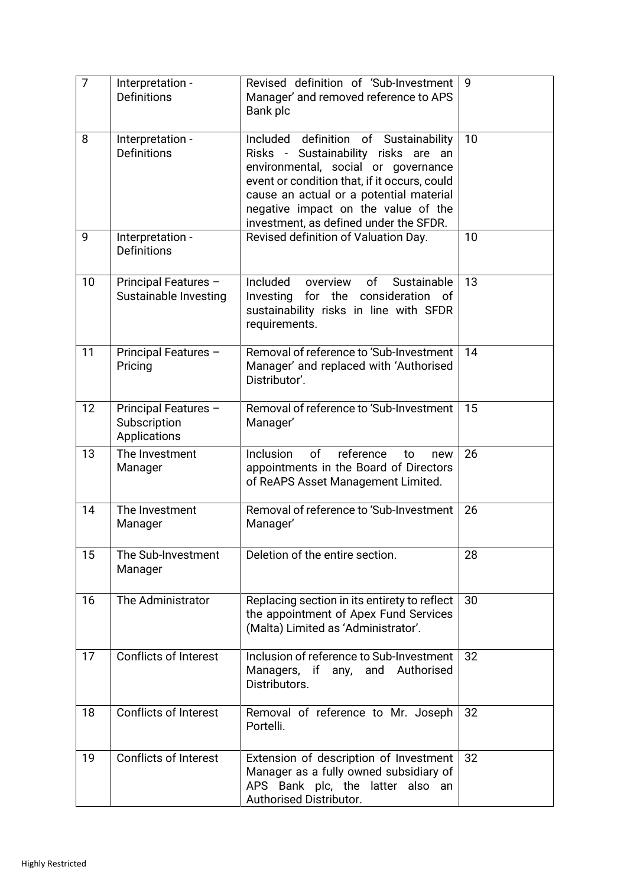| $\overline{7}$ | Interpretation -<br>Definitions                      | Revised definition of 'Sub-Investment<br>Manager' and removed reference to APS<br>Bank plc                                                                                                                                                                                                      | 9  |
|----------------|------------------------------------------------------|-------------------------------------------------------------------------------------------------------------------------------------------------------------------------------------------------------------------------------------------------------------------------------------------------|----|
| 8              | Interpretation -<br><b>Definitions</b>               | Included definition of Sustainability<br>Risks - Sustainability risks are an<br>environmental, social or governance<br>event or condition that, if it occurs, could<br>cause an actual or a potential material<br>negative impact on the value of the<br>investment, as defined under the SFDR. | 10 |
| 9              | Interpretation -<br><b>Definitions</b>               | Revised definition of Valuation Day.                                                                                                                                                                                                                                                            | 10 |
| 10             | Principal Features -<br>Sustainable Investing        | Included<br>of<br>Sustainable<br>overview<br>Investing<br>for the consideration<br>0f<br>sustainability risks in line with SFDR<br>requirements.                                                                                                                                                | 13 |
| 11             | Principal Features -<br>Pricing                      | Removal of reference to 'Sub-Investment<br>Manager' and replaced with 'Authorised<br>Distributor'.                                                                                                                                                                                              | 14 |
| 12             | Principal Features -<br>Subscription<br>Applications | Removal of reference to 'Sub-Investment<br>Manager'                                                                                                                                                                                                                                             | 15 |
| 13             | The Investment<br>Manager                            | of<br>reference<br>Inclusion<br>to<br>new<br>appointments in the Board of Directors<br>of ReAPS Asset Management Limited.                                                                                                                                                                       | 26 |
| 14             | The Investment<br>Manager                            | Removal of reference to 'Sub-Investment<br>Manager'                                                                                                                                                                                                                                             | 26 |
| 15             | The Sub-Investment<br>Manager                        | Deletion of the entire section.                                                                                                                                                                                                                                                                 | 28 |
| 16             | The Administrator                                    | Replacing section in its entirety to reflect<br>the appointment of Apex Fund Services<br>(Malta) Limited as 'Administrator'.                                                                                                                                                                    | 30 |
| 17             | <b>Conflicts of Interest</b>                         | Inclusion of reference to Sub-Investment<br>Managers, if any, and Authorised<br>Distributors.                                                                                                                                                                                                   | 32 |
| 18             | Conflicts of Interest                                | Removal of reference to Mr. Joseph<br>Portelli.                                                                                                                                                                                                                                                 | 32 |
| 19             | <b>Conflicts of Interest</b>                         | Extension of description of Investment<br>Manager as a fully owned subsidiary of<br>APS Bank plc, the latter also an<br>Authorised Distributor.                                                                                                                                                 | 32 |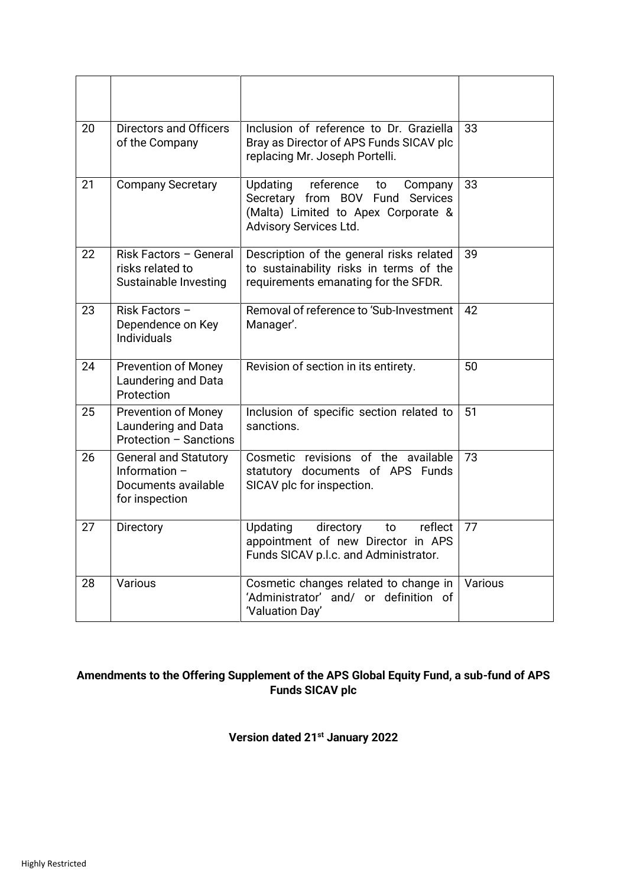| 20 | Directors and Officers<br>of the Company                                               | Inclusion of reference to Dr. Graziella<br>Bray as Director of APS Funds SICAV plc<br>replacing Mr. Joseph Portelli.                               | 33      |
|----|----------------------------------------------------------------------------------------|----------------------------------------------------------------------------------------------------------------------------------------------------|---------|
| 21 | <b>Company Secretary</b>                                                               | reference<br>Updating<br>Company<br>to<br>Secretary from BOV Fund Services<br>(Malta) Limited to Apex Corporate &<br><b>Advisory Services Ltd.</b> | 33      |
| 22 | Risk Factors - General<br>risks related to<br>Sustainable Investing                    | Description of the general risks related<br>to sustainability risks in terms of the<br>requirements emanating for the SFDR.                        | 39      |
| 23 | Risk Factors -<br>Dependence on Key<br><b>Individuals</b>                              | Removal of reference to 'Sub-Investment<br>Manager'.                                                                                               | 42      |
| 24 | <b>Prevention of Money</b><br>Laundering and Data<br>Protection                        | Revision of section in its entirety.                                                                                                               | 50      |
| 25 | <b>Prevention of Money</b><br>Laundering and Data<br>Protection - Sanctions            | Inclusion of specific section related to<br>sanctions.                                                                                             | 51      |
| 26 | <b>General and Statutory</b><br>Information -<br>Documents available<br>for inspection | Cosmetic revisions of the available<br>statutory documents of APS Funds<br>SICAV plc for inspection.                                               | 73      |
| 27 | Directory                                                                              | Updating<br>reflect<br>directory<br>to<br>appointment of new Director in APS<br>Funds SICAV p.l.c. and Administrator.                              | 77      |
| 28 | Various                                                                                | Cosmetic changes related to change in<br>'Administrator' and/ or definition of<br>'Valuation Day'                                                  | Various |

## **Amendments to the Offering Supplement of the APS Global Equity Fund, a sub-fund of APS Funds SICAV plc**

**Version dated 21st January 2022**